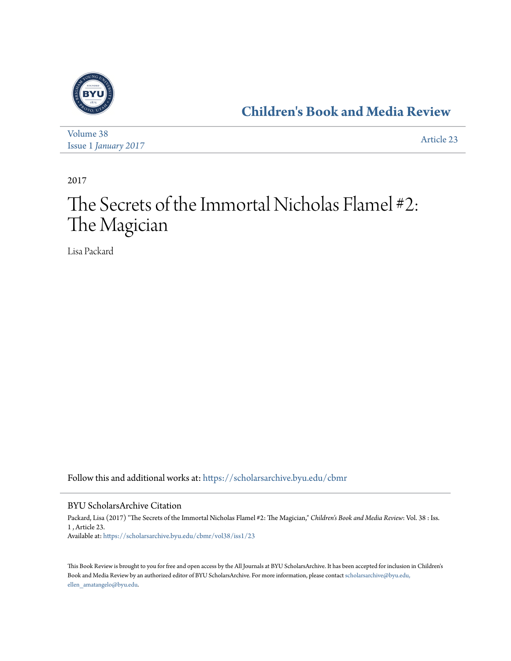

**[Children's Book and Media Review](https://scholarsarchive.byu.edu/cbmr?utm_source=scholarsarchive.byu.edu%2Fcbmr%2Fvol38%2Fiss1%2F23&utm_medium=PDF&utm_campaign=PDFCoverPages)**

| Volume 38                   | Article 23 |
|-----------------------------|------------|
| <b>Issue 1 January 2017</b> |            |

2017

## The Secrets of the Immortal Nicholas Flamel #2: The Magician

Lisa Packard

Follow this and additional works at: [https://scholarsarchive.byu.edu/cbmr](https://scholarsarchive.byu.edu/cbmr?utm_source=scholarsarchive.byu.edu%2Fcbmr%2Fvol38%2Fiss1%2F23&utm_medium=PDF&utm_campaign=PDFCoverPages)

## BYU ScholarsArchive Citation

Packard, Lisa (2017) "The Secrets of the Immortal Nicholas Flamel #2: The Magician," *Children's Book and Media Review*: Vol. 38 : Iss. 1 , Article 23. Available at: [https://scholarsarchive.byu.edu/cbmr/vol38/iss1/23](https://scholarsarchive.byu.edu/cbmr/vol38/iss1/23?utm_source=scholarsarchive.byu.edu%2Fcbmr%2Fvol38%2Fiss1%2F23&utm_medium=PDF&utm_campaign=PDFCoverPages)

This Book Review is brought to you for free and open access by the All Journals at BYU ScholarsArchive. It has been accepted for inclusion in Children's Book and Media Review by an authorized editor of BYU ScholarsArchive. For more information, please contact [scholarsarchive@byu.edu,](mailto:scholarsarchive@byu.edu,%20ellen_amatangelo@byu.edu) [ellen\\_amatangelo@byu.edu.](mailto:scholarsarchive@byu.edu,%20ellen_amatangelo@byu.edu)